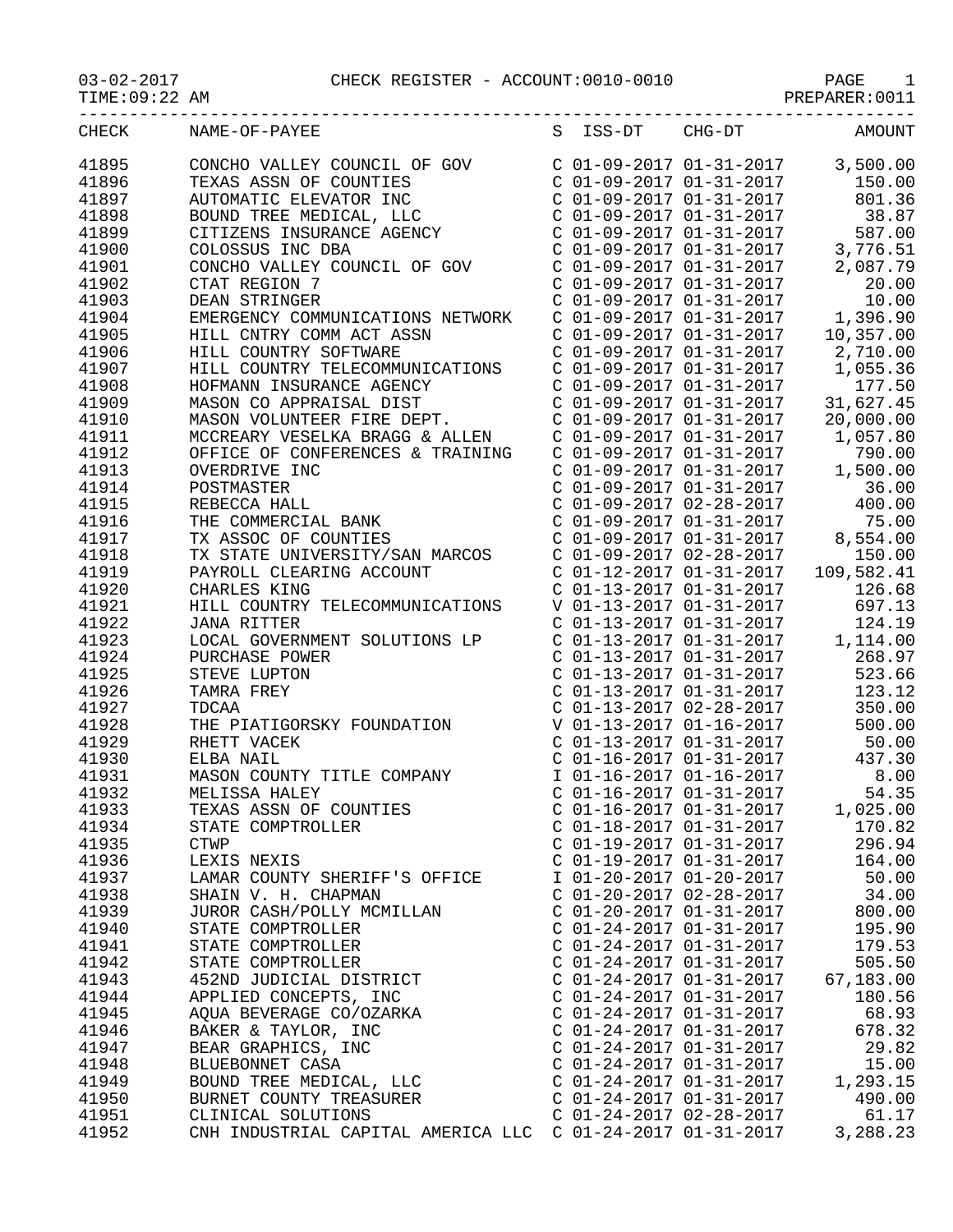|                | $\begin{array}{cccc} \texttt{03-02-2017} & \texttt{CHECK REGISTER - ACCOUNT:0010-0010} & \texttt{PAGE} & 1 \\ \texttt{TIME:09:22 AM} & & & & & & \texttt{PREPARER:0011} \end{array}$ |  |  |                                                        | -------------                                                                                                                                                                                           |  |
|----------------|--------------------------------------------------------------------------------------------------------------------------------------------------------------------------------------|--|--|--------------------------------------------------------|---------------------------------------------------------------------------------------------------------------------------------------------------------------------------------------------------------|--|
| CHECK          | NAME-OF-PAYEE                                                                                                                                                                        |  |  |                                                        | S ISS-DT CHG-DT AMOUNT                                                                                                                                                                                  |  |
| 41895<br>41896 | CONCHO VALLEY COUNCIL OF GOV<br>TEXAS ASSN OF COUNTIES<br>AUTOMATIC ELEVATOR INC<br>BOUND TREE MEDICAL, LLC                                                                          |  |  |                                                        | $C$ 01-09-2017 01-31-2017 3,500.00                                                                                                                                                                      |  |
| 41897          |                                                                                                                                                                                      |  |  |                                                        |                                                                                                                                                                                                         |  |
| 41898          |                                                                                                                                                                                      |  |  |                                                        | $\begin{tabular}{lllllllll} C&01-09-2017&01-31-2017&&&150.00\\ C&01-09-2017&01-31-2017&&801.36\\ C&01-09-2017&01-31-2017&&38.87\\ \end{tabular}$                                                        |  |
| 41899          | TEXAS ASSN OF COUNTILE<br>AUTOMATIC ELEVATOR INC<br>BOUND TREE MEDICAL, LLC<br>CITIZENS INSURANCE AGENCY                                                                             |  |  |                                                        |                                                                                                                                                                                                         |  |
| 41900          |                                                                                                                                                                                      |  |  |                                                        |                                                                                                                                                                                                         |  |
| 41901          | CONCHO VALLEY COUNCIL OF GOV                                                                                                                                                         |  |  | $C$ 01-09-2017 01-31-2017                              | 2,087.79                                                                                                                                                                                                |  |
| 41902          | CTAT REGION 7                                                                                                                                                                        |  |  | $C$ 01-09-2017 01-31-2017                              | 20.00                                                                                                                                                                                                   |  |
| 41903          | DEAN STRINGER                                                                                                                                                                        |  |  | $C$ 01-09-2017 01-31-2017                              | 10.00                                                                                                                                                                                                   |  |
| 41904          | EMERGENCY COMMUNICATIONS NETWORK                                                                                                                                                     |  |  | $C$ 01-09-2017 01-31-2017                              | 1,396.90                                                                                                                                                                                                |  |
| 41905          | SN<br>HILL CNTRY COMM ACT ASSN                                                                                                                                                       |  |  | $C$ 01-09-2017 01-31-2017                              | 10,357.00                                                                                                                                                                                               |  |
| 41906          | HILL COUNTRY SOFTWARE                                                                                                                                                                |  |  | $C$ 01-09-2017 01-31-2017                              | 2,710.00                                                                                                                                                                                                |  |
| 41907<br>41908 | HILL COUNTRY TELECOMMUNICATIONS                                                                                                                                                      |  |  | $C$ 01-09-2017 01-31-2017<br>$C$ 01-09-2017 01-31-2017 | 1,055.36<br>177.50                                                                                                                                                                                      |  |
| 41909          | HOFMANN INSURANCE AGENCY<br>MASON CO APPRAISAL DIST                                                                                                                                  |  |  | $C \t01-09-2017 \t01-31-2017$                          | 31,627.45                                                                                                                                                                                               |  |
| 41910          | MASON VOLUNTEER FIRE DEPT.                                                                                                                                                           |  |  | $C$ 01-09-2017 01-31-2017                              | 20,000.00                                                                                                                                                                                               |  |
| 41911          | MCCREARY VESELKA BRAGG & ALLEN                                                                                                                                                       |  |  | $C$ 01-09-2017 01-31-2017                              | 1,057.80                                                                                                                                                                                                |  |
| 41912          | OFFICE OF CONFERENCES & TRAINING                                                                                                                                                     |  |  | $C$ 01-09-2017 01-31-2017                              | 790.00                                                                                                                                                                                                  |  |
| 41913          |                                                                                                                                                                                      |  |  | $C$ 01-09-2017 01-31-2017                              |                                                                                                                                                                                                         |  |
| 41914          |                                                                                                                                                                                      |  |  | $C$ 01-09-2017 01-31-2017                              | $1,500.00$<br>$36.00$                                                                                                                                                                                   |  |
| 41915          |                                                                                                                                                                                      |  |  | $C$ 01-09-2017 02-28-2017                              | 400.00                                                                                                                                                                                                  |  |
| 41916          |                                                                                                                                                                                      |  |  |                                                        | $C$ 01-09-2017 01-31-2017 75.00                                                                                                                                                                         |  |
| 41917          | OFFICE OF CONTINUE<br>OVERDRIVE INC<br>POSTMASTER<br>REBECCA HALL<br>THE COMMERCIAL BANK<br>THE COMMERCIAL BANK                                                                      |  |  |                                                        | $C$ 01-09-2017 01-31-2017 8,554.00                                                                                                                                                                      |  |
| 41918          | TX STATE UNIVERSITY/SAN MARCOS                                                                                                                                                       |  |  |                                                        |                                                                                                                                                                                                         |  |
| 41919          | PAYROLL CLEARING ACCOUNT<br>CHARLES KING                                                                                                                                             |  |  |                                                        |                                                                                                                                                                                                         |  |
| 41920          | CHARLES KING                                                                                                                                                                         |  |  |                                                        | C 01-09-2017 02-28-2017 150.00<br>C 01-12-2017 01-31-2017 109,582.41<br>C 01-13-2017 01-31-2017 126.68<br>V 01-13-2017 01-31-2017 697.13                                                                |  |
| 41921          | HILL COUNTRY TELECOMMUNICATIONS                                                                                                                                                      |  |  |                                                        |                                                                                                                                                                                                         |  |
| 41922          | <b>JANA RITTER</b>                                                                                                                                                                   |  |  |                                                        | C 01-13-2017 01-31-2017 124.19                                                                                                                                                                          |  |
| 41923          | LOCAL GOVERNMENT SOLUTIONS LP                                                                                                                                                        |  |  |                                                        | C $01-13-2017$ $01-31-2017$ 1, 114.00                                                                                                                                                                   |  |
| 41924<br>41925 | PURCHASE POWER<br>STEVE LUPTON                                                                                                                                                       |  |  |                                                        | $\begin{tabular}{lllllllll} $c$ & $01-13-2017$ & $01-31-2017$ & & $268.97$ \\ $C$ & $01-13-2017$ & $01-31-2017$ & & $523.66$ \\ $C$ & $01-13-2017$ & $01-31-2017$ & & $123.12$ \end{tabular}$<br>268.97 |  |
| 41926          | TAMRA FREY                                                                                                                                                                           |  |  |                                                        |                                                                                                                                                                                                         |  |
| 41927          | TDCAA                                                                                                                                                                                |  |  |                                                        | $C$ 01-13-2017 02-28-2017 350.00                                                                                                                                                                        |  |
| 41928          | THE PIATIGORSKY FOUNDATION                                                                                                                                                           |  |  | V 01-13-2017 01-16-2017                                | 500.00                                                                                                                                                                                                  |  |
| 41929          | RHETT VACEK                                                                                                                                                                          |  |  | $C$ 01-13-2017 01-31-2017                              | 50.00                                                                                                                                                                                                   |  |
| 41930          | ELBA NAIL                                                                                                                                                                            |  |  | $C$ 01-16-2017 01-31-2017                              | 437.30                                                                                                                                                                                                  |  |
| 41931          | MASON COUNTY TITLE COMPANY                                                                                                                                                           |  |  | I 01-16-2017 01-16-2017                                | 8.00                                                                                                                                                                                                    |  |
| 41932          | MELISSA HALEY                                                                                                                                                                        |  |  | $C$ 01-16-2017 01-31-2017                              | 54.35                                                                                                                                                                                                   |  |
| 41933          | TEXAS ASSN OF COUNTIES                                                                                                                                                               |  |  | $C$ 01-16-2017 01-31-2017                              | 1,025.00                                                                                                                                                                                                |  |
| 41934          | STATE COMPTROLLER                                                                                                                                                                    |  |  | $C$ 01-18-2017 01-31-2017                              | 170.82                                                                                                                                                                                                  |  |
| 41935          | <b>CTWP</b>                                                                                                                                                                          |  |  | $C$ 01-19-2017 01-31-2017                              | 296.94                                                                                                                                                                                                  |  |
| 41936          | LEXIS NEXIS                                                                                                                                                                          |  |  | $C$ 01-19-2017 01-31-2017                              | 164.00                                                                                                                                                                                                  |  |
| 41937          | LAMAR COUNTY SHERIFF'S OFFICE                                                                                                                                                        |  |  | I 01-20-2017 01-20-2017                                | 50.00                                                                                                                                                                                                   |  |
| 41938          | SHAIN V. H. CHAPMAN                                                                                                                                                                  |  |  | $C$ 01-20-2017 02-28-2017                              | 34.00                                                                                                                                                                                                   |  |
| 41939<br>41940 | JUROR CASH/POLLY MCMILLAN<br>STATE COMPTROLLER                                                                                                                                       |  |  | $C$ 01-20-2017 01-31-2017<br>$C$ 01-24-2017 01-31-2017 | 800.00<br>195.90                                                                                                                                                                                        |  |
| 41941          | STATE COMPTROLLER                                                                                                                                                                    |  |  | $C$ 01-24-2017 01-31-2017                              | 179.53                                                                                                                                                                                                  |  |
| 41942          | STATE COMPTROLLER                                                                                                                                                                    |  |  | $C$ 01-24-2017 01-31-2017                              | 505.50                                                                                                                                                                                                  |  |
| 41943          | 452ND JUDICIAL DISTRICT                                                                                                                                                              |  |  | $C$ 01-24-2017 01-31-2017                              | 67,183.00                                                                                                                                                                                               |  |
| 41944          | APPLIED CONCEPTS, INC                                                                                                                                                                |  |  | $C$ 01-24-2017 01-31-2017                              | 180.56                                                                                                                                                                                                  |  |
| 41945          | AQUA BEVERAGE CO/OZARKA                                                                                                                                                              |  |  | $C$ 01-24-2017 01-31-2017                              | 68.93                                                                                                                                                                                                   |  |
| 41946          | BAKER & TAYLOR, INC                                                                                                                                                                  |  |  | $C$ 01-24-2017 01-31-2017                              | 678.32                                                                                                                                                                                                  |  |
| 41947          | BEAR GRAPHICS, INC                                                                                                                                                                   |  |  | $C$ 01-24-2017 01-31-2017                              | 29.82                                                                                                                                                                                                   |  |
| 41948          | BLUEBONNET CASA                                                                                                                                                                      |  |  | $C$ 01-24-2017 01-31-2017                              | 15.00                                                                                                                                                                                                   |  |
| 41949          | BOUND TREE MEDICAL, LLC                                                                                                                                                              |  |  | $C$ 01-24-2017 01-31-2017                              | 1,293.15                                                                                                                                                                                                |  |
| 41950          | BURNET COUNTY TREASURER                                                                                                                                                              |  |  | $C$ 01-24-2017 01-31-2017                              | 490.00                                                                                                                                                                                                  |  |
| 41951          | CLINICAL SOLUTIONS                                                                                                                                                                   |  |  | $C$ 01-24-2017 02-28-2017                              | 61.17                                                                                                                                                                                                   |  |
| 41952          | CNH INDUSTRIAL CAPITAL AMERICA LLC C 01-24-2017 01-31-2017                                                                                                                           |  |  |                                                        | 3,288.23                                                                                                                                                                                                |  |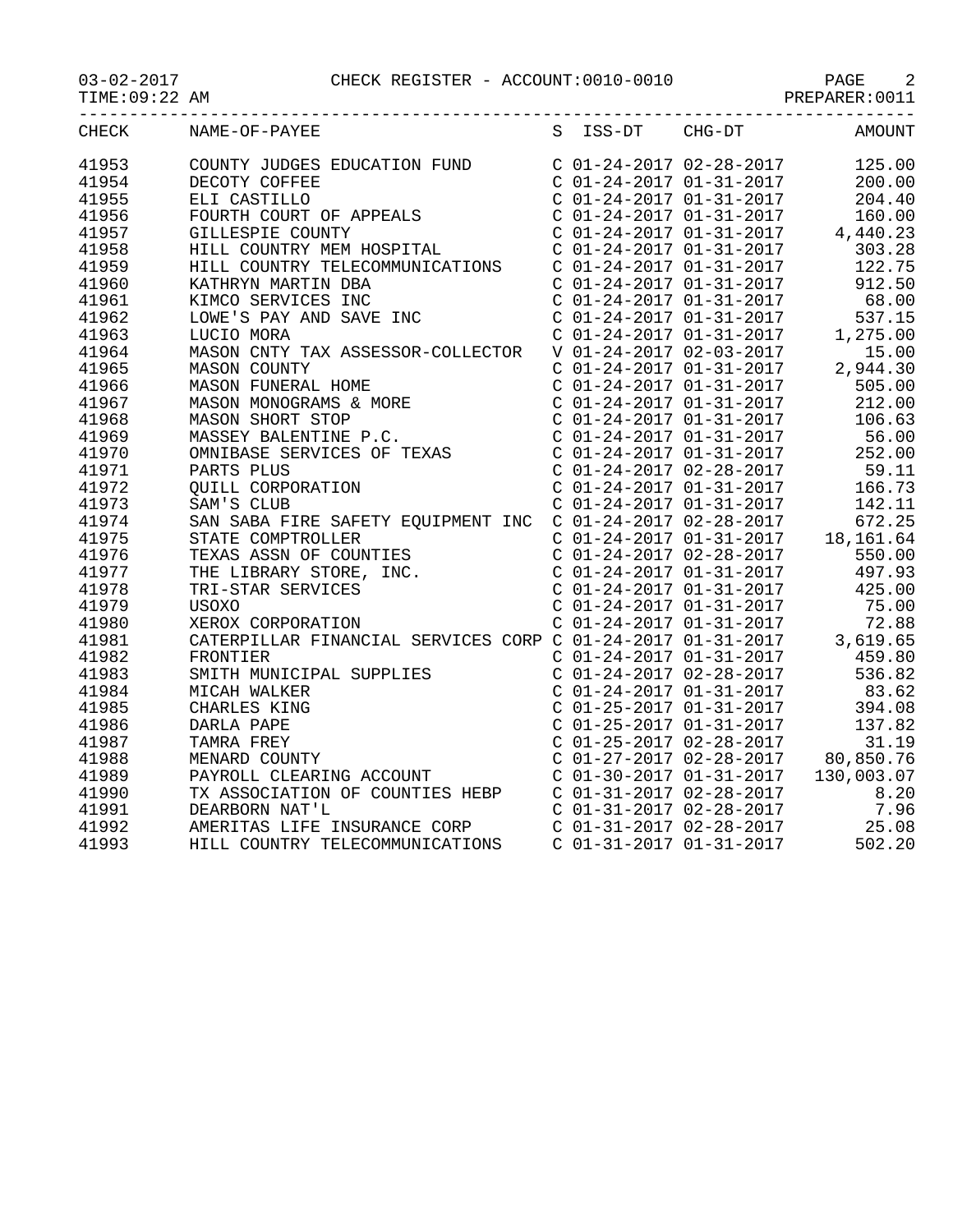|                |                                                                                                                                                                                                                                                                                                                                     |                                                                                                                                                                                          | PREPARER: 0011                                                                                                                                                                                      |
|----------------|-------------------------------------------------------------------------------------------------------------------------------------------------------------------------------------------------------------------------------------------------------------------------------------------------------------------------------------|------------------------------------------------------------------------------------------------------------------------------------------------------------------------------------------|-----------------------------------------------------------------------------------------------------------------------------------------------------------------------------------------------------|
| <b>CHECK</b>   | NAME-OF-PAYEE                                                                                                                                                                                                                                                                                                                       | S ISS-DT CHG-DT                                                                                                                                                                          | AMOUNT                                                                                                                                                                                              |
| 41953          | COUNTY JUDGES EDUCATION FUND $C$ 01-24-2017 02-28-2017                                                                                                                                                                                                                                                                              |                                                                                                                                                                                          | 125.00                                                                                                                                                                                              |
| 41954          | DECOTY COFFEE                                                                                                                                                                                                                                                                                                                       | C 01-24-2017 01-31-2017<br>C 01-24-2017 01-31-2017                                                                                                                                       | 200.00                                                                                                                                                                                              |
| 41955          | ELI CASTILLO<br>ELI CASTILLO<br>FOURTH COURT OF APPEALS                                                                                                                                                                                                                                                                             |                                                                                                                                                                                          | 204.40                                                                                                                                                                                              |
| 41956          |                                                                                                                                                                                                                                                                                                                                     |                                                                                                                                                                                          | $\begin{array}{ccccccccc}\n & 0.1 & 24-2017 & 01-31-2017 & 160.00 \\ C & 01-24-2017 & 01-31-2017 & 4,440.23 \\ C & 01-24-2017 & 01-31-2017 & 303.28 \\ C & 01-24-2017 & 01 & 31 & 201\n\end{array}$ |
| 41957          | GILLESPIE COUNTY                                                                                                                                                                                                                                                                                                                    |                                                                                                                                                                                          |                                                                                                                                                                                                     |
| 41958          | HILL COUNTRY MEM HOSPITAL                                                                                                                                                                                                                                                                                                           |                                                                                                                                                                                          |                                                                                                                                                                                                     |
| 41959          | HILL COUNTRY TELECOMMUNICATIONS C 01-24-2017 01-31-2017                                                                                                                                                                                                                                                                             |                                                                                                                                                                                          | 122.75                                                                                                                                                                                              |
| 41960          | KATHRYN MARTIN DBA                                                                                                                                                                                                                                                                                                                  | $C$ 01-24-2017 01-31-2017                                                                                                                                                                | 912.50                                                                                                                                                                                              |
| 41961          | KIMCO SERVICES INC                                                                                                                                                                                                                                                                                                                  | $C$ 01-24-2017 01-31-2017                                                                                                                                                                | 68.00                                                                                                                                                                                               |
| 41962          | LOWE'S PAY AND SAVE INC                                                                                                                                                                                                                                                                                                             |                                                                                                                                                                                          | 537.15                                                                                                                                                                                              |
| 41963          | LUCIO MORA                                                                                                                                                                                                                                                                                                                          | $\begin{array}{lll} \text{C} & 01-24-2017 & 01-31-2017 \\ \text{C} & 01-24-2017 & 01-31-2017 \\ \text{V} & 01-24-2017 & 02-03-2017 \end{array} \qquad \  \  \, 1$                        | 1,275.00                                                                                                                                                                                            |
| 41964          | MASON CNTY TAX ASSESSOR-COLLECTOR                                                                                                                                                                                                                                                                                                   |                                                                                                                                                                                          | 15.00                                                                                                                                                                                               |
| 41965          | MASON COUNTY                                                                                                                                                                                                                                                                                                                        | $\begin{array}{llll} \mbox{C} & 01-24-2017 & 01-31-2017 & \quad \mbox{2}\\ \mbox{C} & 01-24-2017 & 01-31-2017 & \quad \mbox{C} & 01-24-2017 & 01-31-2017 & \quad \mbox{3}\\ \end{array}$ | 2,944.30                                                                                                                                                                                            |
| 41966          |                                                                                                                                                                                                                                                                                                                                     |                                                                                                                                                                                          | 505.00                                                                                                                                                                                              |
| 41967          |                                                                                                                                                                                                                                                                                                                                     |                                                                                                                                                                                          | 212.00                                                                                                                                                                                              |
| 41968          |                                                                                                                                                                                                                                                                                                                                     | $C$ 01-24-2017 01-31-2017                                                                                                                                                                | 106.63                                                                                                                                                                                              |
| 41969          |                                                                                                                                                                                                                                                                                                                                     | $C$ 01-24-2017 01-31-2017                                                                                                                                                                | 56.00                                                                                                                                                                                               |
| 41970          | MASON COUNTY<br>MASON FUNERAL HOME<br>MASON MONOGRAMS & MORE<br>MASON SHORT STOP<br>MASSEY BALENTINE P.C.<br>OMNIBASE SERVICES OF TEXAS<br>PARTS PLUS<br>QUILL CORPORATION<br>SAM'S CLUB                                                                                                                                            | $C$ 01-24-2017 01-31-2017                                                                                                                                                                | 252.00                                                                                                                                                                                              |
| 41971          |                                                                                                                                                                                                                                                                                                                                     | $C$ 01-24-2017 02-28-2017                                                                                                                                                                | 59.11                                                                                                                                                                                               |
| 41972          |                                                                                                                                                                                                                                                                                                                                     | $C$ 01-24-2017 01-31-2017                                                                                                                                                                | 166.73                                                                                                                                                                                              |
| 41973          | SAM'S CLUB                                                                                                                                                                                                                                                                                                                          | $C$ 01-24-2017 01-31-2017                                                                                                                                                                | 142.11                                                                                                                                                                                              |
| 41974          |                                                                                                                                                                                                                                                                                                                                     |                                                                                                                                                                                          |                                                                                                                                                                                                     |
| 41975          | SAN SABA FIRE SAFETY EQUIPMENT INC C 01-24-2017 02-28-2017 672.25<br>STATE COMPTROLLER COMPTROLLER COUNTIES C 01-24-2017 01-31-2017 18,161.64<br>TEXAS ASSN OF COUNTIES C 01-24-2017 02-28-2017 550.00<br>STATE COMPTROLLER<br>TEXAS ASSN OF COUNTIES<br>THE LIBRARY STORE, INC.<br>TRI-STAR SERVICES<br>USOXO<br>XEROX CORPORATION |                                                                                                                                                                                          |                                                                                                                                                                                                     |
| 41976          |                                                                                                                                                                                                                                                                                                                                     |                                                                                                                                                                                          |                                                                                                                                                                                                     |
| 41977          |                                                                                                                                                                                                                                                                                                                                     | C 01-24-2017 01-31-2017<br>C 01-24-2017 01-31-2017                                                                                                                                       | 497.93                                                                                                                                                                                              |
| 41978          |                                                                                                                                                                                                                                                                                                                                     |                                                                                                                                                                                          | 425.00                                                                                                                                                                                              |
| 41979          |                                                                                                                                                                                                                                                                                                                                     | $C$ 01-24-2017 01-31-2017                                                                                                                                                                | 75.00                                                                                                                                                                                               |
| 41980          | XEROX CORPORATION<br>CATERPILLAR FINANCIAL SERVICES CORP C 01-24-2017 01-31-2017                                                                                                                                                                                                                                                    |                                                                                                                                                                                          | 72.88                                                                                                                                                                                               |
| 41981          |                                                                                                                                                                                                                                                                                                                                     |                                                                                                                                                                                          | 3,619.65<br>$C$ 01-24-2017 01-31-2017 459.80                                                                                                                                                        |
| 41982          | FRONTIER                                                                                                                                                                                                                                                                                                                            |                                                                                                                                                                                          |                                                                                                                                                                                                     |
| 41983          |                                                                                                                                                                                                                                                                                                                                     | C 01-24-2017 02-28-2017<br>C 01-24-2017 01-31-2017                                                                                                                                       | 536.82                                                                                                                                                                                              |
| 41984          | FRONTIER<br>SMITH MUNICIPAL SUPPLIES<br>MICAH WALKER<br>CHARLES KING<br>DARLA PAPE<br>TAMRA FREY<br>MENARD COUNTY<br>MENARD COUNTY                                                                                                                                                                                                  | $C$ 01-25-2017 01-31-2017                                                                                                                                                                | 83.62                                                                                                                                                                                               |
| 41985          |                                                                                                                                                                                                                                                                                                                                     |                                                                                                                                                                                          | 394.08                                                                                                                                                                                              |
| 41986          |                                                                                                                                                                                                                                                                                                                                     | C 01-25-2017 01-31-2017<br>C 01-25-2017 02-28-2017                                                                                                                                       | 137.82<br>31.19                                                                                                                                                                                     |
| 41987<br>41988 |                                                                                                                                                                                                                                                                                                                                     |                                                                                                                                                                                          | $C$ 01-27-2017 02-28-2017 80,850.76                                                                                                                                                                 |
|                |                                                                                                                                                                                                                                                                                                                                     |                                                                                                                                                                                          |                                                                                                                                                                                                     |
| 41989<br>41990 | PAYROLL CLEARING ACCOUNT<br>TX ASSOCIATION OF COUNTIES HEBP<br>C 01-31-2017 02-28-2017 130,003.07<br>C 01-31-2017 02-28-2017 120-28-2017                                                                                                                                                                                            |                                                                                                                                                                                          |                                                                                                                                                                                                     |
| 41991          | DEARBORN NAT'L                                                                                                                                                                                                                                                                                                                      | $C$ 01-31-2017 02-28-2017                                                                                                                                                                | 7.96                                                                                                                                                                                                |
| 41992          |                                                                                                                                                                                                                                                                                                                                     |                                                                                                                                                                                          |                                                                                                                                                                                                     |
| 41993          | AMERITAS LIFE INSURANCE CORP<br>HILL COUNTRY TELECOMMUNICATIONS                                                                                                                                                                                                                                                                     |                                                                                                                                                                                          | $\begin{array}{cccc} C& 01-31-2017& 02-28-2017& 25.08\\ C& 01-31-2017& 01-31-2017& 502.20 \end{array}$                                                                                              |
|                |                                                                                                                                                                                                                                                                                                                                     |                                                                                                                                                                                          |                                                                                                                                                                                                     |